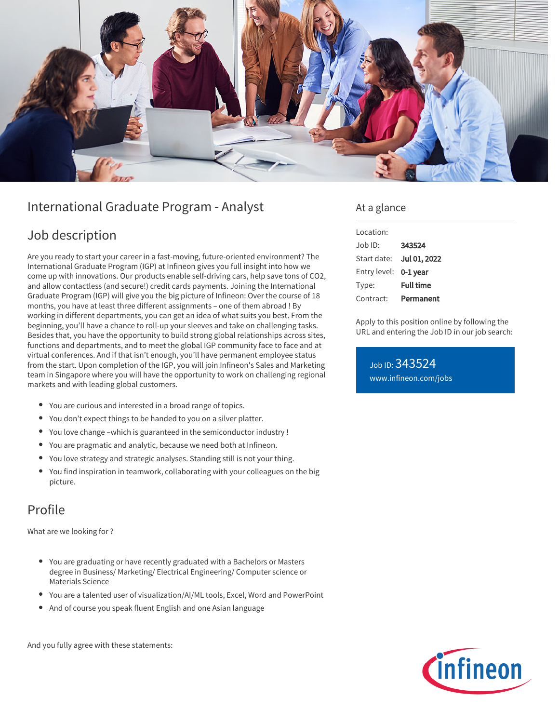

# International Graduate Program - Analyst

## Job description

Are you ready to start your career in a fast-moving, future-oriented environment? The International Graduate Program (IGP) at Infineon gives you full insight into how we come up with innovations. Our products enable self-driving cars, help save tons of CO2, and allow contactless (and secure!) credit cards payments. Joining the International Graduate Program (IGP) will give you the big picture of Infineon: Over the course of 18 months, you have at least three different assignments – one of them abroad ! By working in different departments, you can get an idea of what suits you best. From the beginning, you'll have a chance to roll-up your sleeves and take on challenging tasks. Besides that, you have the opportunity to build strong global relationships across sites, functions and departments, and to meet the global IGP community face to face and at virtual conferences. And if that isn't enough, you'll have permanent employee status from the start. Upon completion of the IGP, you will join Infineon's Sales and Marketing team in Singapore where you will have the opportunity to work on challenging regional markets and with leading global customers.

- You are curious and interested in a broad range of topics.
- You don't expect things to be handed to you on a silver platter.
- You love change –which is guaranteed in the semiconductor industry !
- You are pragmatic and analytic, because we need both at Infineon.
- You love strategy and strategic analyses. Standing still is not your thing.
- You find inspiration in teamwork, collaborating with your colleagues on the big picture.

### Profile

What are we looking for ?

- You are graduating or have recently graduated with a Bachelors or Masters degree in Business/ Marketing/ Electrical Engineering/ Computer science or Materials Science
- You are a talented user of visualization/AI/ML tools, Excel, Word and PowerPoint
- And of course you speak fluent English and one Asian language

And you fully agree with these statements:

### At a glance

| Location:    |                  |
|--------------|------------------|
| Job ID:      | 343524           |
| Start date:  | Jul 01, 2022     |
| Entry level: | 0-1 year         |
| Type:        | <b>Full time</b> |
| Contract:    | Permanent        |

Apply to this position online by following the URL and entering the Job ID in our job search:

Job ID: 343524 [www.infineon.com/jobs](https://www.infineon.com/jobs)